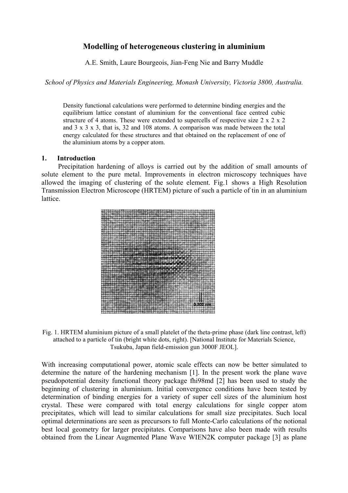## **Modelling of heterogeneous clustering in aluminium**

A.E. Smith, Laure Bourgeois, Jian-Feng Nie and Barry Muddle

*School of Physics and Materials Engineering, Monash University, Victoria 3800, Australia.* 

Density functional calculations were performed to determine binding energies and the equilibrium lattice constant of aluminium for the conventional face centred cubic structure of 4 atoms. These were extended to supercells of respective size  $2 \times 2 \times 2$ and 3 x 3 x 3, that is, 32 and 108 atoms. A comparison was made between the total energy calculated for these structures and that obtained on the replacement of one of the aluminium atoms by a copper atom.

## **1. Introduction**

Precipitation hardening of alloys is carried out by the addition of small amounts of solute element to the pure metal. Improvements in electron microscopy techniques have allowed the imaging of clustering of the solute element. Fig.1 shows a High Resolution Transmission Electron Microscope (HRTEM) picture of such a particle of tin in an aluminium lattice.



Fig. 1. HRTEM aluminium picture of a small platelet of the theta-prime phase (dark line contrast, left) attached to a particle of tin (bright white dots, right). [National Institute for Materials Science, Tsukuba, Japan field-emission gun 3000F JEOL].

With increasing computational power, atomic scale effects can now be better simulated to determine the nature of the hardening mechanism [1]. In the present work the plane wave pseudopotential density functional theory package fhi98md [2] has been used to study the beginning of clustering in aluminium. Initial convergence conditions have been tested by determination of binding energies for a variety of super cell sizes of the aluminium host crystal. These were compared with total energy calculations for single copper atom precipitates, which will lead to similar calculations for small size precipitates. Such local optimal determinations are seen as precursors to full Monte-Carlo calculations of the notional best local geometry for larger precipitates. Comparisons have also been made with results obtained from the Linear Augmented Plane Wave WIEN2K computer package [3] as plane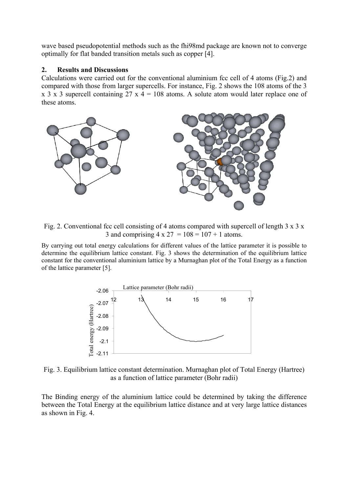wave based pseudopotential methods such as the fhi98md package are known not to converge optimally for flat banded transition metals such as copper [4].

## **2. Results and Discussions**

Calculations were carried out for the conventional aluminium fcc cell of 4 atoms (Fig.2) and compared with those from larger supercells. For instance, Fig. 2 shows the 108 atoms of the 3 x 3 x 3 supercell containing 27 x  $4 = 108$  atoms. A solute atom would later replace one of these atoms.



Fig. 2. Conventional fcc cell consisting of 4 atoms compared with supercell of length  $3 \times 3 \times 3$ 3 and comprising  $4 \times 27 = 108 = 107 + 1$  atoms.

By carrying out total energy calculations for different values of the lattice parameter it is possible to determine the equilibrium lattice constant. Fig. 3 shows the determination of the equilibrium lattice constant for the conventional aluminium lattice by a Murnaghan plot of the Total Energy as a function of the lattice parameter [5].



Fig. 3. Equilibrium lattice constant determination. Murnaghan plot of Total Energy (Hartree) as a function of lattice parameter (Bohr radii)

The Binding energy of the aluminium lattice could be determined by taking the difference between the Total Energy at the equilibrium lattice distance and at very large lattice distances as shown in Fig. 4.